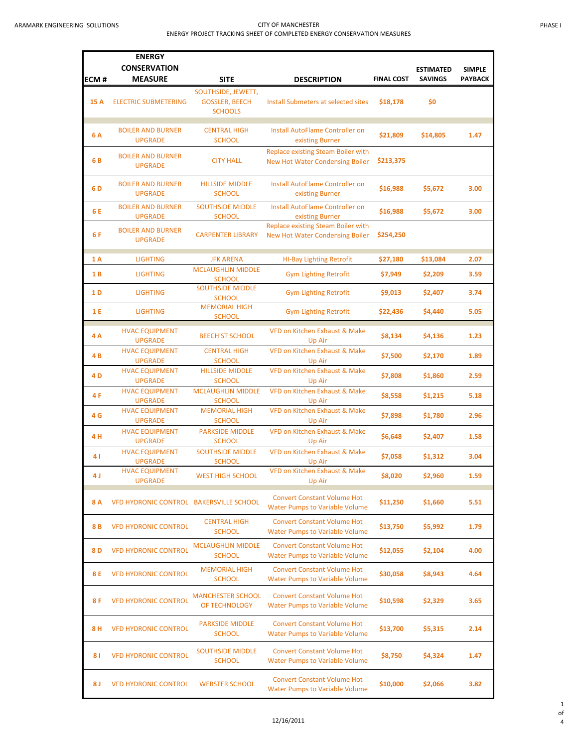## ARAMARK ENGINEERING SOLUTIONS **CITY OF MANCHESTER** ENERGY PROJECT TRACKING SHEET OF COMPLETED ENERGY CONSERVATION MEASURES

|--|

| ECM#           | <b>ENERGY</b><br><b>CONSERVATION</b><br><b>MEASURE</b> | <b>SITE</b>                                                   | <b>DESCRIPTION</b>                                                           | <b>FINAL COST</b> | <b>ESTIMATED</b><br><b>SAVINGS</b> | <b>SIMPLE</b><br>PAYBACK |
|----------------|--------------------------------------------------------|---------------------------------------------------------------|------------------------------------------------------------------------------|-------------------|------------------------------------|--------------------------|
|                |                                                        |                                                               |                                                                              |                   |                                    |                          |
| 15 A           | <b>ELECTRIC SUBMETERING</b>                            | SOUTHSIDE, JEWETT,<br><b>GOSSLER, BEECH</b><br><b>SCHOOLS</b> | Install Submeters at selected sites                                          | \$18,178          | \$0                                |                          |
| 6 A            | <b>BOILER AND BURNER</b><br><b>UPGRADE</b>             | <b>CENTRAL HIGH</b><br><b>SCHOOL</b>                          | Install AutoFlame Controller on<br>existing Burner                           | \$21,809          | \$14,805                           | 1.47                     |
| 6B             | <b>BOILER AND BURNER</b><br><b>UPGRADE</b>             | <b>CITY HALL</b>                                              | <b>Replace existing Steam Boiler with</b><br>New Hot Water Condensing Boiler | \$213,375         |                                    |                          |
| 6 <sub>D</sub> | <b>BOILER AND BURNER</b><br><b>UPGRADE</b>             | <b>HILLSIDE MIDDLE</b><br><b>SCHOOL</b>                       | Install AutoFlame Controller on<br>existing Burner                           | \$16,988          | \$5,672                            | 3.00                     |
| 6 E            | <b>BOILER AND BURNER</b><br><b>UPGRADE</b>             | <b>SOUTHSIDE MIDDLE</b><br><b>SCHOOL</b>                      | Install AutoFlame Controller on<br>existing Burner                           | \$16,988          | \$5,672                            | 3.00                     |
| 6F             | <b>BOILER AND BURNER</b><br><b>UPGRADE</b>             | <b>CARPENTER LIBRARY</b>                                      | Replace existing Steam Boiler with<br><b>New Hot Water Condensing Boiler</b> | \$254,250         |                                    |                          |
| 1 A            | <b>LIGHTING</b>                                        | <b>JFK ARENA</b>                                              | <b>HI-Bay Lighting Retrofit</b>                                              | \$27,180          | \$13,084                           | 2.07                     |
| 1 B            | <b>LIGHTING</b>                                        | <b>MCLAUGHLIN MIDDLE</b><br><b>SCHOOL</b>                     | <b>Gym Lighting Retrofit</b>                                                 | \$7,949           | \$2,209                            | 3.59                     |
| 1 D            | <b>LIGHTING</b>                                        | <b>SOUTHSIDE MIDDLE</b><br><b>SCHOOL</b>                      | <b>Gym Lighting Retrofit</b>                                                 | \$9,013           | \$2,407                            | 3.74                     |
| 1 E            | <b>LIGHTING</b>                                        | <b>MEMORIAL HIGH</b><br><b>SCHOOL</b>                         | <b>Gym Lighting Retrofit</b>                                                 | \$22,436          | \$4,440                            | 5.05                     |
| 4A             | <b>HVAC EQUIPMENT</b><br><b>UPGRADE</b>                | <b>BEECH ST SCHOOL</b>                                        | VFD on Kitchen Exhaust & Make<br>Up Air                                      | \$8,134           | \$4,136                            | 1.23                     |
| 4B             | <b>HVAC EQUIPMENT</b><br><b>UPGRADE</b>                | <b>CENTRAL HIGH</b><br><b>SCHOOL</b>                          | <b>VFD on Kitchen Exhaust &amp; Make</b><br>Up Air                           | \$7,500           | \$2,170                            | 1.89                     |
| 4 <sub>D</sub> | <b>HVAC EQUIPMENT</b><br><b>UPGRADE</b>                | <b>HILLSIDE MIDDLE</b><br><b>SCHOOL</b>                       | VFD on Kitchen Exhaust & Make<br>Up Air                                      | \$7,808           | \$1,860                            | 2.59                     |
| 4F             | <b>HVAC EQUIPMENT</b><br><b>UPGRADE</b>                | <b>MCLAUGHLIN MIDDLE</b><br><b>SCHOOL</b>                     | <b>VFD on Kitchen Exhaust &amp; Make</b><br>Up Air                           | \$8,558           | \$1,215                            | 5.18                     |
| 4 G            | <b>HVAC EQUIPMENT</b><br><b>UPGRADE</b>                | <b>MEMORIAL HIGH</b><br><b>SCHOOL</b>                         | <b>VFD on Kitchen Exhaust &amp; Make</b><br>Up Air                           | \$7,898           | \$1,780                            | 2.96                     |
| 4 H            | <b>HVAC EQUIPMENT</b><br><b>UPGRADE</b>                | <b>PARKSIDE MIDDLE</b><br><b>SCHOOL</b>                       | <b>VFD on Kitchen Exhaust &amp; Make</b><br>Up Air                           | \$6,648           | \$2,407                            | 1.58                     |
| 41             | <b>HVAC EQUIPMENT</b><br><b>UPGRADE</b>                | <b>SOUTHSIDE MIDDLE</b><br><b>SCHOOL</b>                      | <b>VFD on Kitchen Exhaust &amp; Make</b><br>Up Air                           | \$7,058           | \$1,312                            | 3.04                     |
| 4 J            | <b>HVAC EQUIPMENT</b><br><b>UPGRADE</b>                | <b>WEST HIGH SCHOOL</b>                                       | VFD on Kitchen Exhaust & Make<br>Up Air                                      | \$8,020           | \$2,960                            | 1.59                     |
| 8 A            | VFD HYDRONIC CONTROL BAKERSVILLE SCHOOL                |                                                               | <b>Convert Constant Volume Hot</b><br><b>Water Pumps to Variable Volume</b>  | \$11,250          | \$1,660                            | 5.51                     |
| 8 B            | <b>VFD HYDRONIC CONTROL</b>                            | <b>CENTRAL HIGH</b><br><b>SCHOOL</b>                          | <b>Convert Constant Volume Hot</b><br><b>Water Pumps to Variable Volume</b>  | \$13,750          | \$5,992                            | 1.79                     |
| 8 <sub>D</sub> | <b>VFD HYDRONIC CONTROL</b>                            | <b>MCLAUGHLIN MIDDLE</b><br><b>SCHOOL</b>                     | <b>Convert Constant Volume Hot</b><br><b>Water Pumps to Variable Volume</b>  | \$12,055          | \$2,104                            | 4.00                     |
| 8 E            | <b>VFD HYDRONIC CONTROL</b>                            | <b>MEMORIAL HIGH</b><br><b>SCHOOL</b>                         | <b>Convert Constant Volume Hot</b><br><b>Water Pumps to Variable Volume</b>  | \$30,058          | \$8,943                            | 4.64                     |
| 8 F            | <b>VFD HYDRONIC CONTROL</b>                            | <b>MANCHESTER SCHOOL</b><br>OF TECHNOLOGY                     | <b>Convert Constant Volume Hot</b><br><b>Water Pumps to Variable Volume</b>  | \$10,598          | \$2,329                            | 3.65                     |
| 8 H            | <b>VFD HYDRONIC CONTROL</b>                            | <b>PARKSIDE MIDDLE</b><br><b>SCHOOL</b>                       | <b>Convert Constant Volume Hot</b><br><b>Water Pumps to Variable Volume</b>  | \$13,700          | \$5,315                            | 2.14                     |
| 81             | <b>VFD HYDRONIC CONTROL</b>                            | <b>SOUTHSIDE MIDDLE</b><br><b>SCHOOL</b>                      | <b>Convert Constant Volume Hot</b><br><b>Water Pumps to Variable Volume</b>  | \$8,750           | \$4,324                            | 1.47                     |
| 8 J            | <b>VFD HYDRONIC CONTROL</b>                            | <b>WEBSTER SCHOOL</b>                                         | <b>Convert Constant Volume Hot</b><br><b>Water Pumps to Variable Volume</b>  | \$10,000          | \$2,066                            | 3.82                     |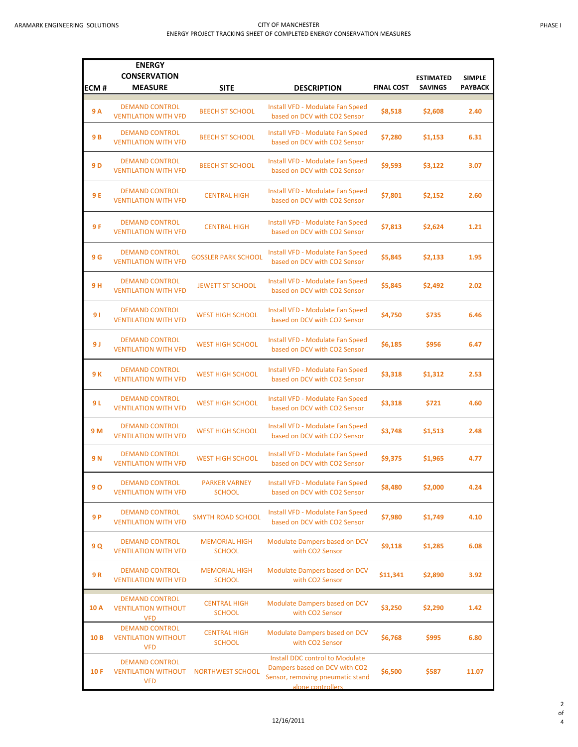| ECM#            | <b>ENERGY</b><br><b>CONSERVATION</b><br><b>MEASURE</b>            | <b>SITE</b>                           | <b>DESCRIPTION</b>                                                                                                        | <b>FINAL COST</b> | <b>ESTIMATED</b><br><b>SAVINGS</b> | <b>SIMPLE</b><br>PAYBACK |
|-----------------|-------------------------------------------------------------------|---------------------------------------|---------------------------------------------------------------------------------------------------------------------------|-------------------|------------------------------------|--------------------------|
| 9 A             | <b>DEMAND CONTROL</b><br><b>VENTILATION WITH VFD</b>              | <b>BEECH ST SCHOOL</b>                | Install VFD - Modulate Fan Speed<br>based on DCV with CO2 Sensor                                                          | \$8,518           | \$2,608                            | 2.40                     |
| 9 B             | <b>DEMAND CONTROL</b><br><b>VENTILATION WITH VFD</b>              | <b>BEECH ST SCHOOL</b>                | Install VFD - Modulate Fan Speed<br>based on DCV with CO2 Sensor                                                          | \$7,280           | \$1,153                            | 6.31                     |
| 9 <sub>D</sub>  | <b>DEMAND CONTROL</b><br><b>VENTILATION WITH VFD</b>              | <b>BEECH ST SCHOOL</b>                | <b>Install VFD - Modulate Fan Speed</b><br>based on DCV with CO2 Sensor                                                   | \$9,593           | \$3,122                            | 3.07                     |
| 9 E             | <b>DEMAND CONTROL</b><br><b>VENTILATION WITH VFD</b>              | <b>CENTRAL HIGH</b>                   | Install VFD - Modulate Fan Speed<br>based on DCV with CO2 Sensor                                                          | \$7,801           | \$2,152                            | 2.60                     |
| 9 F             | <b>DEMAND CONTROL</b><br><b>VENTILATION WITH VFD</b>              | <b>CENTRAL HIGH</b>                   | Install VFD - Modulate Fan Speed<br>based on DCV with CO2 Sensor                                                          | \$7,813           | \$2,624                            | 1.21                     |
| 9 G             | <b>DEMAND CONTROL</b><br><b>VENTILATION WITH VFD</b>              | <b>GOSSLER PARK SCHOOL</b>            | <b>Install VFD - Modulate Fan Speed</b><br>based on DCV with CO2 Sensor                                                   | \$5,845           | \$2,133                            | 1.95                     |
| 9 H             | <b>DEMAND CONTROL</b><br><b>VENTILATION WITH VFD</b>              | <b>JEWETT ST SCHOOL</b>               | Install VFD - Modulate Fan Speed<br>based on DCV with CO2 Sensor                                                          | \$5,845           | \$2,492                            | 2.02                     |
| 91              | <b>DEMAND CONTROL</b><br><b>VENTILATION WITH VFD</b>              | <b>WEST HIGH SCHOOL</b>               | <b>Install VFD - Modulate Fan Speed</b><br>based on DCV with CO2 Sensor                                                   | \$4,750           | \$735                              | 6.46                     |
| 9 J             | <b>DEMAND CONTROL</b><br><b>VENTILATION WITH VFD</b>              | <b>WEST HIGH SCHOOL</b>               | Install VFD - Modulate Fan Speed<br>based on DCV with CO2 Sensor                                                          | \$6,185           | \$956                              | 6.47                     |
| 9 K             | <b>DEMAND CONTROL</b><br><b>VENTILATION WITH VFD</b>              | <b>WEST HIGH SCHOOL</b>               | Install VFD - Modulate Fan Speed<br>based on DCV with CO2 Sensor                                                          | \$3,318           | \$1,312                            | 2.53                     |
| 9 L             | <b>DEMAND CONTROL</b><br><b>VENTILATION WITH VFD</b>              | <b>WEST HIGH SCHOOL</b>               | Install VFD - Modulate Fan Speed<br>based on DCV with CO2 Sensor                                                          | \$3,318           | \$721                              | 4.60                     |
| 9 M             | <b>DEMAND CONTROL</b><br><b>VENTILATION WITH VFD</b>              | <b>WEST HIGH SCHOOL</b>               | <b>Install VFD - Modulate Fan Speed</b><br>based on DCV with CO2 Sensor                                                   | \$3,748           | \$1,513                            | 2.48                     |
| 9N              | <b>DEMAND CONTROL</b><br><b>VENTILATION WITH VFD</b>              | <b>WEST HIGH SCHOOL</b>               | Install VFD - Modulate Fan Speed<br>based on DCV with CO2 Sensor                                                          | \$9,375           | \$1,965                            | 4.77                     |
| <b>90</b>       | <b>DEMAND CONTROL</b><br><b>VENTILATION WITH VFD</b>              | <b>PARKER VARNEY</b><br><b>SCHOOL</b> | Install VFD - Modulate Fan Speed<br>based on DCV with CO2 Sensor                                                          | \$8,480           | \$2,000                            | 4.24                     |
| 9 P             | <b>DEMAND CONTROL</b><br><b>VENTILATION WITH VFD</b>              | <b>SMYTH ROAD SCHOOL</b>              | <b>Install VFD - Modulate Fan Speed</b><br>based on DCV with CO2 Sensor                                                   | \$7,980           | \$1,749                            | 4.10                     |
| 9 Q             | <b>DEMAND CONTROL</b><br><b>VENTILATION WITH VFD</b>              | <b>MEMORIAL HIGH</b><br><b>SCHOOL</b> | Modulate Dampers based on DCV<br>with CO2 Sensor                                                                          | \$9,118           | \$1,285                            | 6.08                     |
| 9R              | <b>DEMAND CONTROL</b><br><b>VENTILATION WITH VFD</b>              | <b>MEMORIAL HIGH</b><br><b>SCHOOL</b> | Modulate Dampers based on DCV<br>with CO2 Sensor                                                                          | \$11,341          | \$2,890                            | 3.92                     |
| 10 A            | <b>DEMAND CONTROL</b><br><b>VENTILATION WITHOUT</b><br><b>VFD</b> | <b>CENTRAL HIGH</b><br><b>SCHOOL</b>  | Modulate Dampers based on DCV<br>with CO2 Sensor                                                                          | \$3,250           | \$2,290                            | 1.42                     |
| 10 <sub>B</sub> | <b>DEMAND CONTROL</b><br><b>VENTILATION WITHOUT</b><br><b>VFD</b> | <b>CENTRAL HIGH</b><br><b>SCHOOL</b>  | Modulate Dampers based on DCV<br>with CO2 Sensor                                                                          | \$6,768           | \$995                              | 6.80                     |
| 10F             | <b>DEMAND CONTROL</b><br><b>VENTILATION WITHOUT</b><br><b>VFD</b> | <b>NORTHWEST SCHOOL</b>               | Install DDC control to Modulate<br>Dampers based on DCV with CO2<br>Sensor, removing pneumatic stand<br>alone controllers | \$6,500           | \$587                              | 11.07                    |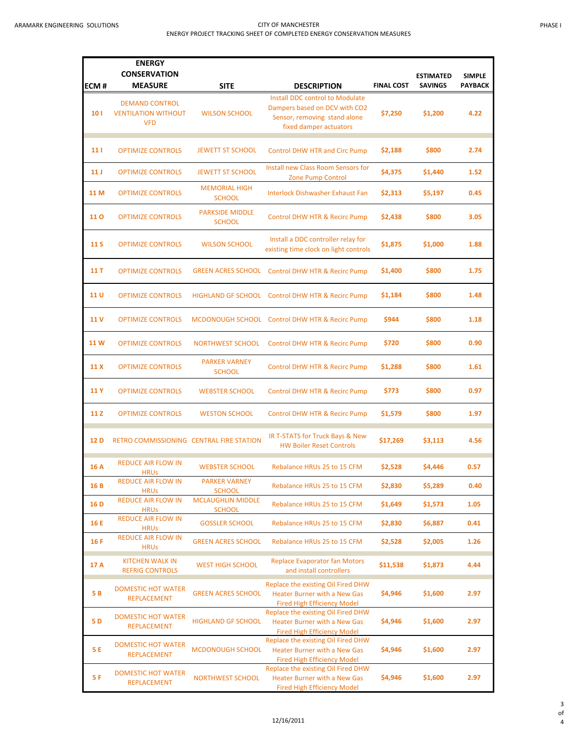| ECM#            | <b>ENERGY</b><br><b>CONSERVATION</b><br><b>MEASURE</b>            | <b>SITE</b>                               | <b>DESCRIPTION</b>                                                                                                         | <b>FINAL COST</b> | <b>ESTIMATED</b><br><b>SAVINGS</b> | <b>SIMPLE</b><br><b>PAYBACK</b> |
|-----------------|-------------------------------------------------------------------|-------------------------------------------|----------------------------------------------------------------------------------------------------------------------------|-------------------|------------------------------------|---------------------------------|
|                 |                                                                   |                                           |                                                                                                                            |                   |                                    |                                 |
| 10 <sub>1</sub> | <b>DEMAND CONTROL</b><br><b>VENTILATION WITHOUT</b><br><b>VFD</b> | <b>WILSON SCHOOL</b>                      | Install DDC control to Modulate<br>Dampers based on DCV with CO2<br>Sensor, removing stand alone<br>fixed damper actuators | \$7,250           | \$1,200                            | 4.22                            |
| 11              | <b>OPTIMIZE CONTROLS</b>                                          | <b>JEWETT ST SCHOOL</b>                   | <b>Control DHW HTR and Circ Pump</b>                                                                                       | \$2,188           | \$800                              | 2.74                            |
| 11 J            | <b>OPTIMIZE CONTROLS</b>                                          | <b>JEWETT ST SCHOOL</b>                   | Install new Class Room Sensors for<br><b>Zone Pump Control</b>                                                             | \$4,375           | \$1,440                            | 1.52                            |
| 11 M            | <b>OPTIMIZE CONTROLS</b>                                          | <b>MEMORIAL HIGH</b><br><b>SCHOOL</b>     | <b>Interlock Dishwasher Exhaust Fan</b>                                                                                    | \$2,313           | \$5,197                            | 0.45                            |
| <b>11 O</b>     | <b>OPTIMIZE CONTROLS</b>                                          | <b>PARKSIDE MIDDLE</b><br><b>SCHOOL</b>   | Control DHW HTR & Recirc Pump                                                                                              | \$2,438           | \$800                              | 3.05                            |
| 11 S            | <b>OPTIMIZE CONTROLS</b>                                          | <b>WILSON SCHOOL</b>                      | Install a DDC controller relay for<br>existing time clock on light controls                                                | \$1,875           | \$1,000                            | 1.88                            |
| 11 T            | <b>OPTIMIZE CONTROLS</b>                                          |                                           | GREEN ACRES SCHOOL Control DHW HTR & Recirc Pump                                                                           | \$1,400           | \$800                              | 1.75                            |
| 11 U            | <b>OPTIMIZE CONTROLS</b>                                          |                                           | HIGHLAND GF SCHOOL Control DHW HTR & Recirc Pump                                                                           | \$1,184           | \$800                              | 1.48                            |
| 11 V            | <b>OPTIMIZE CONTROLS</b>                                          |                                           | MCDONOUGH SCHOOL Control DHW HTR & Recirc Pump                                                                             | \$944             | \$800                              | 1.18                            |
| 11 W            | <b>OPTIMIZE CONTROLS</b>                                          | <b>NORTHWEST SCHOOL</b>                   | Control DHW HTR & Recirc Pump                                                                                              | \$720             | \$800                              | 0.90                            |
| 11 X            | <b>OPTIMIZE CONTROLS</b>                                          | <b>PARKER VARNEY</b><br><b>SCHOOL</b>     | Control DHW HTR & Recirc Pump                                                                                              | \$1,288           | \$800                              | 1.61                            |
| 11 Y            | <b>OPTIMIZE CONTROLS</b>                                          | <b>WEBSTER SCHOOL</b>                     | Control DHW HTR & Recirc Pump                                                                                              | \$773             | \$800                              | 0.97                            |
| 11 Z            | <b>OPTIMIZE CONTROLS</b>                                          | <b>WESTON SCHOOL</b>                      | Control DHW HTR & Recirc Pump                                                                                              | \$1,579           | \$800                              | 1.97                            |
| 12 D            | RETRO COMMISSIONING CENTRAL FIRE STATION                          |                                           | IR T-STATS for Truck Bays & New<br><b>HW Boiler Reset Controls</b>                                                         | \$17,269          | \$3,113                            | 4.56                            |
| 16 A            | <b>REDUCE AIR FLOW IN</b><br><b>HRUS</b>                          | <b>WEBSTER SCHOOL</b>                     | Rebalance HRUs 25 to 15 CFM                                                                                                | \$2,528           | \$4,446                            | 0.57                            |
| 16B             | <b>REDUCE AIR FLOW IN</b><br><b>HRUS</b>                          | <b>PARKER VARNEY</b><br><b>SCHOOL</b>     | Rebalance HRUs 25 to 15 CFM                                                                                                | \$2,830           | \$5,289                            | 0.40                            |
| 16 D            | <b>REDUCE AIR FLOW IN</b><br><b>HRUS</b>                          | <b>MCLAUGHLIN MIDDLE</b><br><b>SCHOOL</b> | Rebalance HRUs 25 to 15 CFM                                                                                                | \$1,649           | \$1,573                            | 1.05                            |
| 16 E            | <b>REDUCE AIR FLOW IN</b><br><b>HRUS</b>                          | <b>GOSSLER SCHOOL</b>                     | Rebalance HRUs 25 to 15 CFM                                                                                                | \$2,830           | \$6,887                            | 0.41                            |
| 16 F            | <b>REDUCE AIR FLOW IN</b><br><b>HRUS</b>                          | <b>GREEN ACRES SCHOOL</b>                 | Rebalance HRUs 25 to 15 CFM                                                                                                | \$2,528           | \$2,005                            | 1.26                            |
| 17 A            | <b>KITCHEN WALK IN</b><br><b>REFRIG CONTROLS</b>                  | <b>WEST HIGH SCHOOL</b>                   | <b>Replace Evaporator fan Motors</b><br>and install controllers                                                            | \$11,538          | \$1,873                            | 4.44                            |
| 5B              | <b>DOMESTIC HOT WATER</b><br><b>REPLACEMENT</b>                   | <b>GREEN ACRES SCHOOL</b>                 | Replace the existing Oil Fired DHW<br><b>Heater Burner with a New Gas</b><br><b>Fired High Efficiency Model</b>            | \$4,946           | \$1,600                            | 2.97                            |
| 5 D             | <b>DOMESTIC HOT WATER</b><br><b>REPLACEMENT</b>                   | <b>HIGHLAND GF SCHOOL</b>                 | Replace the existing Oil Fired DHW<br><b>Heater Burner with a New Gas</b><br><b>Fired High Efficiency Model</b>            | \$4,946           | \$1,600                            | 2.97                            |
| 5 E             | <b>DOMESTIC HOT WATER</b><br><b>REPLACEMENT</b>                   | MCDONOUGH SCHOOL                          | Replace the existing Oil Fired DHW<br><b>Heater Burner with a New Gas</b><br><b>Fired High Efficiency Model</b>            | \$4,946           | \$1,600                            | 2.97                            |
| 5 F             | <b>DOMESTIC HOT WATER</b><br><b>REPLACEMENT</b>                   | <b>NORTHWEST SCHOOL</b>                   | Replace the existing Oil Fired DHW<br><b>Heater Burner with a New Gas</b><br><b>Fired High Efficiency Model</b>            | \$4,946           | \$1,600                            | 2.97                            |

3 of 4